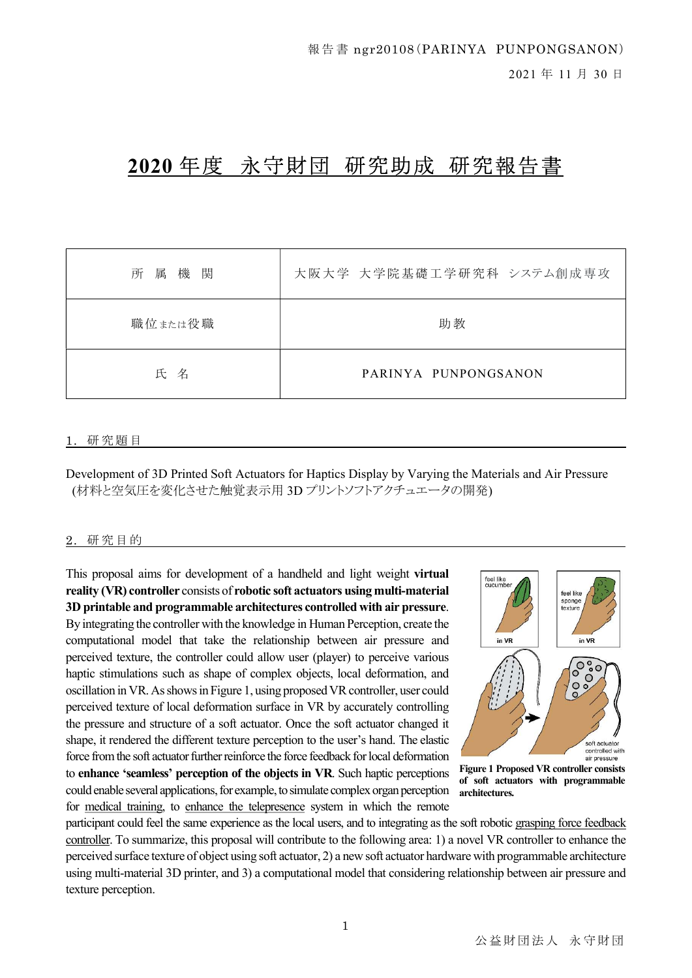# 2020 年度 永守財団 研究助成 研究報告書

| 所属機<br>関 | 大阪大学 大学院基礎工学研究科 システム創成専攻 |
|----------|--------------------------|
| 職位または役職  | 助教                       |
| 氏名       | PARINYA PUNPONGSANON     |

#### 1. 研 究 題 目

Development of 3D Printed Soft Actuators for Haptics Display by Varying the Materials and Air Pressure (材料と空気圧を変化させた触覚表示用 3D プリントソフトアクチュエータの開発)

#### 2. 研究目的

This proposal aims for development of a handheld and light weight virtual reality (VR) controller consists of robotic soft actuators using multi-material 3D printable and programmable architectures controlled with air pressure. By integrating the controller with the knowledge in Human Perception, create the computational model that take the relationship between air pressure and perceived texture, the controller could allow user (player) to perceive various haptic stimulations such as shape of complex objects, local deformation, and oscillation in VR. As shows in Figure 1, using proposed VR controller, user could perceived texture of local deformation surface in VR by accurately controlling the pressure and structure of a soft actuator. Once the soft actuator changed it shape, it rendered the different texture perception to the user's hand. The elastic force from the soft actuator further reinforce the force feedback for local deformation to enhance 'seamless' perception of the objects in VR. Such haptic perceptions could enable several applications, for example, to simulate complex organ perception for medical training, to enhance the telepresence system in which the remote



Figure 1 Proposed VR controller consists of soft actuators with programmable architectures.

participant could feel the same experience as the local users, and to integrating as the soft robotic grasping force feedback controller. To summarize, this proposal will contribute to the following area: 1) a novel VR controller to enhance the perceived surface texture of object using soft actuator, 2) a new soft actuator hardware with programmable architecture using multi-material 3D printer, and 3) a computational model that considering relationship between air pressure and texture perception.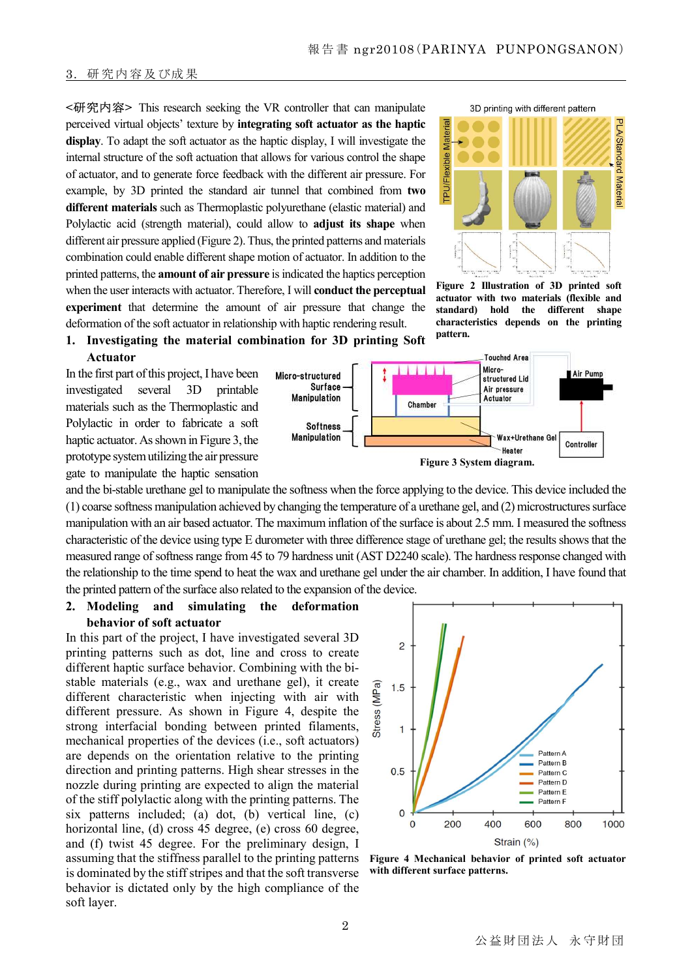#### 3. 研 究 内 容及び成 果

<研究内容> This research seeking the VR controller that can manipulate perceived virtual objects' texture by integrating soft actuator as the haptic display. To adapt the soft actuator as the haptic display, I will investigate the internal structure of the soft actuation that allows for various control the shape of actuator, and to generate force feedback with the different air pressure. For example, by 3D printed the standard air tunnel that combined from two different materials such as Thermoplastic polyurethane (elastic material) and Polylactic acid (strength material), could allow to **adjust its shape** when different air pressure applied (Figure 2). Thus, the printed patterns and materials combination could enable different shape motion of actuator. In addition to the printed patterns, the amount of air pressure is indicated the haptics perception when the user interacts with actuator. Therefore, I will **conduct the perceptual** experiment that determine the amount of air pressure that change the deformation of the soft actuator in relationship with haptic rendering result.



Figure 2 Illustration of 3D printed soft actuator with two materials (flexible and standard) hold the different shape characteristics depends on the printing pattern.

#### 1. Investigating the material combination for 3D printing Soft Actuator

In the first part of this project, I have been investigated several 3D printable materials such as the Thermoplastic and Polylactic in order to fabricate a soft haptic actuator. As shown in Figure 3, the prototype system utilizing the air pressure gate to manipulate the haptic sensation



and the bi-stable urethane gel to manipulate the softness when the force applying to the device. This device included the (1) coarse softness manipulation achieved by changing the temperature of a urethane gel, and (2) microstructures surface manipulation with an air based actuator. The maximum inflation of the surface is about 2.5 mm. I measured the softness characteristic of the device using type E durometer with three difference stage of urethane gel; the results shows that the measured range of softness range from 45 to 79 hardness unit (AST D2240 scale). The hardness response changed with the relationship to the time spend to heat the wax and urethane gel under the air chamber. In addition, I have found that the printed pattern of the surface also related to the expansion of the device.

### 2. Modeling and simulating the deformation behavior of soft actuator

In this part of the project, I have investigated several 3D printing patterns such as dot, line and cross to create different haptic surface behavior. Combining with the bistable materials (e.g., wax and urethane gel), it create different characteristic when injecting with air with different pressure. As shown in Figure 4, despite the strong interfacial bonding between printed filaments, mechanical properties of the devices (i.e., soft actuators) are depends on the orientation relative to the printing direction and printing patterns. High shear stresses in the nozzle during printing are expected to align the material of the stiff polylactic along with the printing patterns. The six patterns included; (a) dot, (b) vertical line, (c) horizontal line, (d) cross 45 degree, (e) cross 60 degree, and (f) twist 45 degree. For the preliminary design, I assuming that the stiffness parallel to the printing patterns is dominated by the stiff stripes and that the soft transverse behavior is dictated only by the high compliance of the soft layer.



Figure 4 Mechanical behavior of printed soft actuator with different surface patterns.